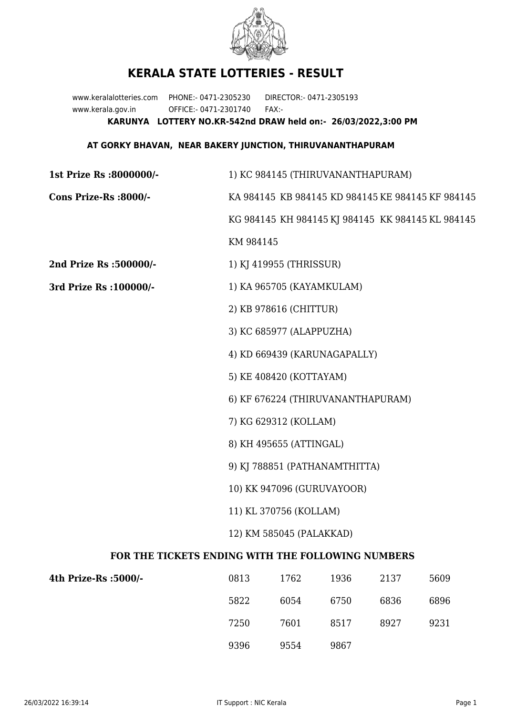

## **KERALA STATE LOTTERIES - RESULT**

www.keralalotteries.com PHONE:- 0471-2305230 DIRECTOR:- 0471-2305193 www.kerala.gov.in OFFICE:- 0471-2301740 FAX:- **KARUNYA LOTTERY NO.KR-542nd DRAW held on:- 26/03/2022,3:00 PM**

## **AT GORKY BHAVAN, NEAR BAKERY JUNCTION, THIRUVANANTHAPURAM**

| 1st Prize Rs :8000000/-                                  | 1) KC 984145 (THIRUVANANTHAPURAM)                 |                                   |         |      |                                                   |  |
|----------------------------------------------------------|---------------------------------------------------|-----------------------------------|---------|------|---------------------------------------------------|--|
| Cons Prize-Rs :8000/-                                    | KA 984145 KB 984145 KD 984145 KE 984145 KF 984145 |                                   |         |      |                                                   |  |
|                                                          |                                                   |                                   |         |      | KG 984145 KH 984145 KJ 984145 KK 984145 KL 984145 |  |
|                                                          | KM 984145                                         |                                   |         |      |                                                   |  |
| 2nd Prize Rs : 500000/-                                  |                                                   | 1) KJ 419955 (THRISSUR)           |         |      |                                                   |  |
| 3rd Prize Rs : 100000/-                                  | 1) KA 965705 (KAYAMKULAM)                         |                                   |         |      |                                                   |  |
|                                                          |                                                   | 2) KB 978616 (CHITTUR)            |         |      |                                                   |  |
|                                                          |                                                   | 3) KC 685977 (ALAPPUZHA)          |         |      |                                                   |  |
|                                                          |                                                   | 4) KD 669439 (KARUNAGAPALLY)      |         |      |                                                   |  |
|                                                          |                                                   | 5) KE 408420 (KOTTAYAM)           |         |      |                                                   |  |
|                                                          |                                                   | 6) KF 676224 (THIRUVANANTHAPURAM) |         |      |                                                   |  |
|                                                          |                                                   | 7) KG 629312 (KOLLAM)             |         |      |                                                   |  |
|                                                          |                                                   | 8) KH 495655 (ATTINGAL)           |         |      |                                                   |  |
|                                                          | 9) KJ 788851 (PATHANAMTHITTA)                     |                                   |         |      |                                                   |  |
|                                                          | 10) KK 947096 (GURUVAYOOR)                        |                                   |         |      |                                                   |  |
|                                                          | 11) KL 370756 (KOLLAM)                            |                                   |         |      |                                                   |  |
|                                                          | 12) KM 585045 (PALAKKAD)                          |                                   |         |      |                                                   |  |
| <b>FOR THE TICKETS ENDING WITH THE FOLLOWING NUMBERS</b> |                                                   |                                   |         |      |                                                   |  |
| $4H$ , D <sub>rigo</sub> D <sub>o (5000</sub> )          | $\bigcap$ 0.1.2                                   | 17 ລາ                             | 1 ດ ວ ລ | רכור | ECOO                                              |  |

| 4th Prize-Rs :5000/- | 0813 | 1762 | 1936 | 2137 | 5609 |
|----------------------|------|------|------|------|------|
|                      | 5822 | 6054 | 6750 | 6836 | 6896 |
|                      | 7250 | 7601 | 8517 | 8927 | 9231 |
|                      | 9396 | 9554 | 9867 |      |      |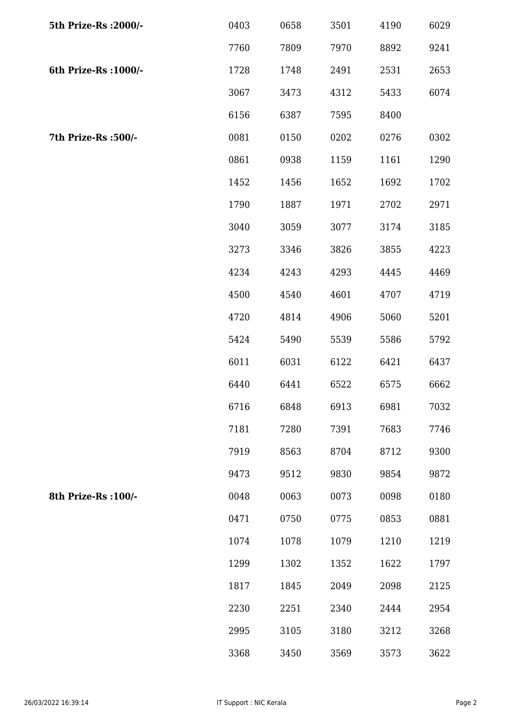| 5th Prize-Rs : 2000/- | 0403 | 0658 | 3501 | 4190 | 6029 |
|-----------------------|------|------|------|------|------|
|                       | 7760 | 7809 | 7970 | 8892 | 9241 |
| 6th Prize-Rs : 1000/- | 1728 | 1748 | 2491 | 2531 | 2653 |
|                       | 3067 | 3473 | 4312 | 5433 | 6074 |
|                       | 6156 | 6387 | 7595 | 8400 |      |
| 7th Prize-Rs :500/-   | 0081 | 0150 | 0202 | 0276 | 0302 |
|                       | 0861 | 0938 | 1159 | 1161 | 1290 |
|                       | 1452 | 1456 | 1652 | 1692 | 1702 |
|                       | 1790 | 1887 | 1971 | 2702 | 2971 |
|                       | 3040 | 3059 | 3077 | 3174 | 3185 |
|                       | 3273 | 3346 | 3826 | 3855 | 4223 |
|                       | 4234 | 4243 | 4293 | 4445 | 4469 |
|                       | 4500 | 4540 | 4601 | 4707 | 4719 |
|                       | 4720 | 4814 | 4906 | 5060 | 5201 |
|                       | 5424 | 5490 | 5539 | 5586 | 5792 |
|                       | 6011 | 6031 | 6122 | 6421 | 6437 |
|                       | 6440 | 6441 | 6522 | 6575 | 6662 |
|                       | 6716 | 6848 | 6913 | 6981 | 7032 |
|                       | 7181 | 7280 | 7391 | 7683 | 7746 |
|                       | 7919 | 8563 | 8704 | 8712 | 9300 |
|                       | 9473 | 9512 | 9830 | 9854 | 9872 |
| 8th Prize-Rs : 100/-  | 0048 | 0063 | 0073 | 0098 | 0180 |
|                       | 0471 | 0750 | 0775 | 0853 | 0881 |
|                       | 1074 | 1078 | 1079 | 1210 | 1219 |
|                       | 1299 | 1302 | 1352 | 1622 | 1797 |
|                       | 1817 | 1845 | 2049 | 2098 | 2125 |
|                       | 2230 | 2251 | 2340 | 2444 | 2954 |
|                       | 2995 | 3105 | 3180 | 3212 | 3268 |
|                       | 3368 | 3450 | 3569 | 3573 | 3622 |